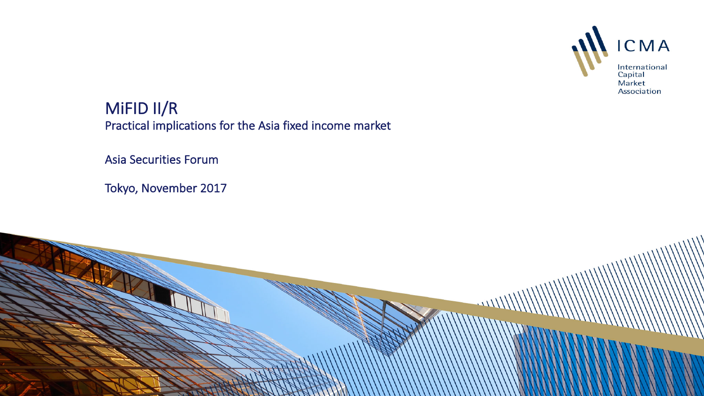

MiFID II/R Practical implications for the Asia fixed income market

Asia Securities Forum

Tokyo, November 2017

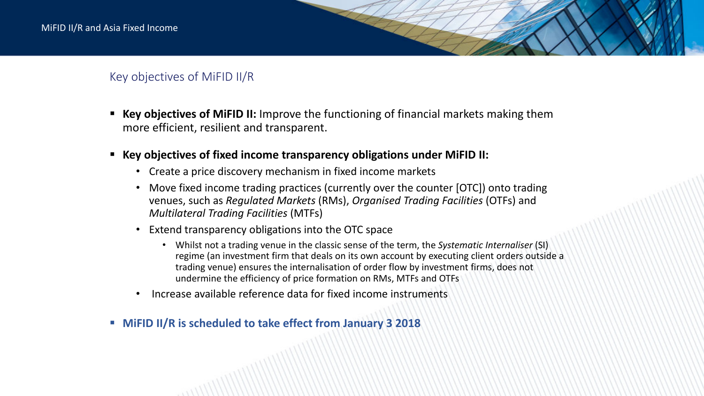# Key objectives of MiFID II/R

- **Key objectives of MiFID II:** Improve the functioning of financial markets making them more efficient, resilient and transparent.
- Key objectives of fixed income transparency obligations under MiFID II:
	- Create a price discovery mechanism in fixed income markets
	- Move fixed income trading practices (currently over the counter [OTC]) onto trading venues, such as *Regulated Markets* (RMs), *Organised Trading Facilities* (OTFs) and *Multilateral Trading Facilities* (MTFs)
	- Extend transparency obligations into the OTC space
		- Whilst not a trading venue in the classic sense of the term, the *Systematic Internaliser* (SI) regime (an investment firm that deals on its own account by executing client orders outside a trading venue) ensures the internalisation of order flow by investment firms, does not undermine the efficiency of price formation on RMs, MTFs and OTFs
	- Increase available reference data for fixed income instruments
- **EXPLO II/ R** is scheduled to take effect from January 3 2018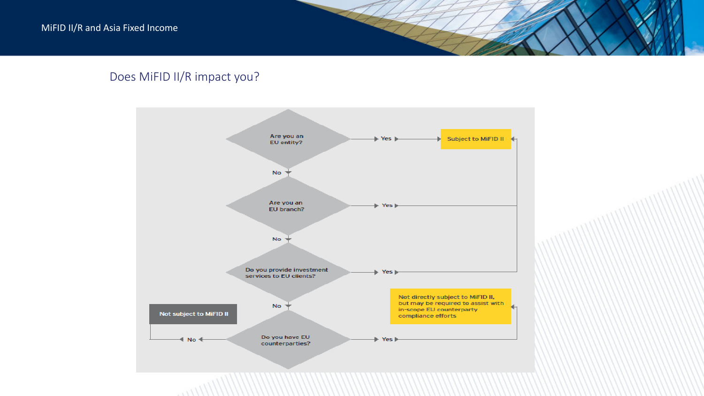# Does MiFID II/R impact you?

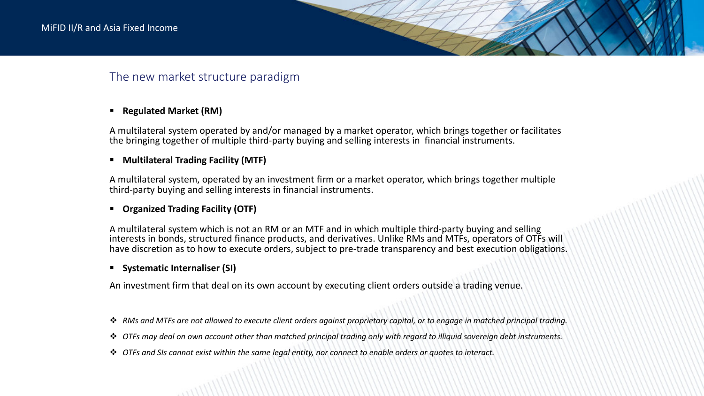# The new market structure paradigm

## ■ Regulated Market (RM)

A multilateral system operated by and/or managed by a market operator, which brings together or facilitates the bringing together of multiple third-party buying and selling interests in financial instruments.

## **E** Multilateral Trading Facility (MTF)

A multilateral system, operated by an investment firm or a market operator, which brings together multiple third-party buying and selling interests in financial instruments.

## **E** Organized Trading Facility (OTF)

A multilateral system which is not an RM or an MTF and in which multiple third-party buying and selling interests in bonds, structured finance products, and derivatives. Unlike RMs and MTFs, operators of OTFs will have discretion as to how to execute orders, subject to pre-trade transparency and best execution obligations.

## ■ Systematic Internaliser (SI)

An investment firm that deal on its own account by executing client orders outside a trading venue.

- **→** RMs and MTFs are not allowed to execute client orders against proprietary capital, or to engage in matched principal trading.
- **→** OTFs may deal on own account other than matched principal trading only with regard to illiquid sovereign debt instruments.
- **→** OTFs and SIs cannot exist within the same legal entity, nor connect to enable orders or quotes to interact.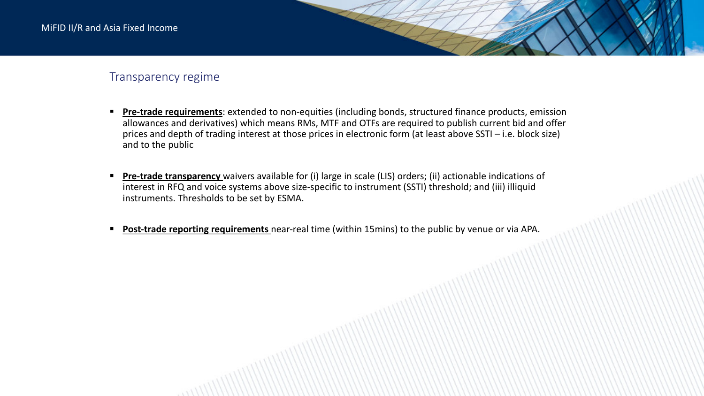## Transparency regime

- **Pre-trade requirements**: extended to non-equities (including bonds, structured finance products, emission allowances and derivatives) which means RMs, MTF and OTFs are required to publish current bid and offer prices and depth of trading interest at those prices in electronic form (at least above SSTI – i.e. block size) and to the public
- **Pre-trade transparency** waivers available for (i) large in scale (LIS) orders; (ii) actionable indications of interest in RFQ and voice systems above size-specific to instrument (SSTI) threshold; and (iii) illiquid instruments. Thresholds to be set by ESMA.
- Post-trade reporting requirements near-real time (within 15mins) to the public by venue or via APA.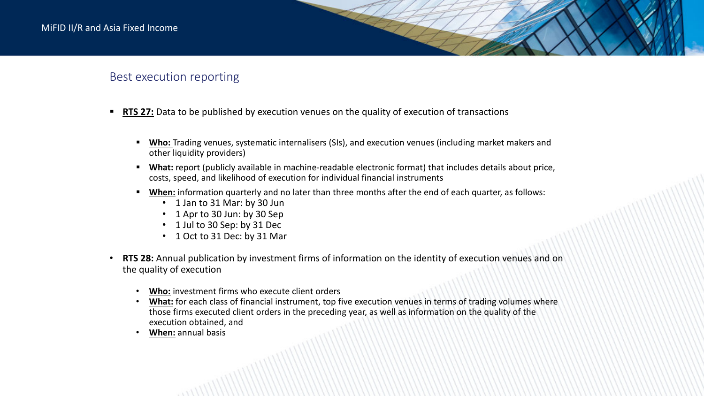## Best execution reporting

- **RTS 27:** Data to be published by execution venues on the quality of execution of transactions
	- Who: Trading venues, systematic internalisers (SIs), and execution venues (including market makers and other liquidity providers)
	- What: report (publicly available in machine-readable electronic format) that includes details about price, costs, speed, and likelihood of execution for individual financial instruments
	- When: information quarterly and no later than three months after the end of each quarter, as follows:
		- 1 Jan to 31 Mar: by 30 Jun
		- 1 Apr to 30 Jun: by 30 Sep
		- 1 Jul to 30 Sep: by 31 Dec
		- 1 Oct to 31 Dec: by 31 Mar
- **RTS 28:** Annual publication by investment firms of information on the identity of execution venues and on the quality of execution
	- Who: investment firms who execute client orders
	- What: for each class of financial instrument, top five execution venues in terms of trading volumes where those firms executed client orders in the preceding year, as well as information on the quality of the execution obtained, and
	- **When:** annual basis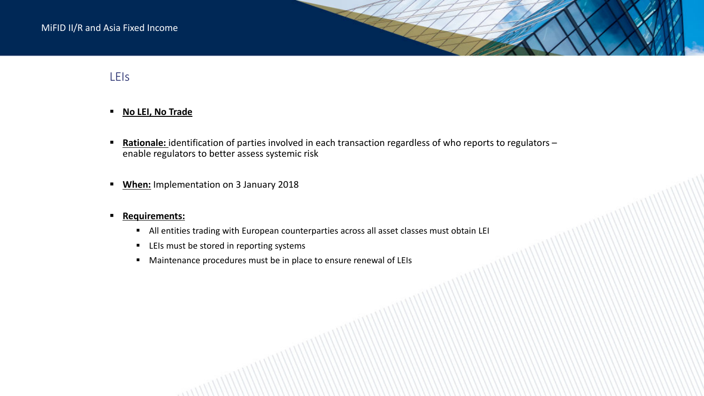# LEIs

## **E** No LEI, No Trade

- **Bationale:** identification of parties involved in each transaction regardless of who reports to regulators enable regulators to better assess systemic risk
- **When:** Implementation on 3 January 2018

#### **Example 1 Requirements:**

- <sup>■</sup> All entities trading with European counterparties across all asset classes must obtain LEI
- LEIs must be stored in reporting systems
- Maintenance procedures must be in place to ensure renewal of LEIs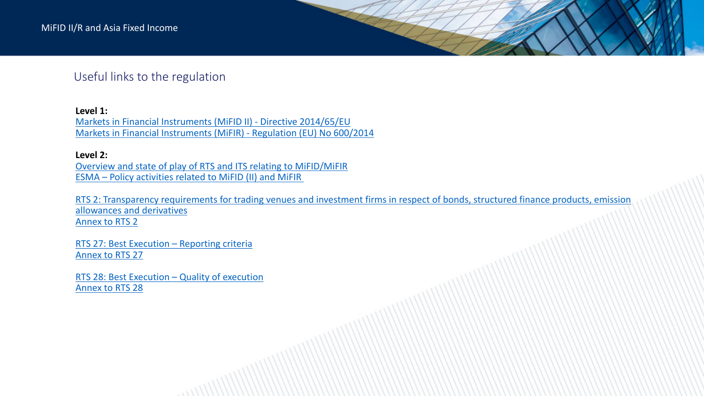## Useful links to the regulation

### Level 1:

Markets in Financial Instruments (MiFID II) - Directive 2014/65/EU Markets in Financial Instruments (MiFIR) - Regulation (EU) No 600/2014

#### **Level 2:**

Overview and state of play of RTS and ITS relating to MiFID/MiFIR ESMA – Policy activities related to MiFID (II) and MiFIR

RTS 2: Transparency requirements for trading venues and investment firms in respect of bonds, structured finance products, emission allowances and derivatives Annex to RTS 2

RTS 27: Best Execution  $-$  Reporting criteria Annex to RTS 27

RTS 28: Best Execution - Quality of execution Annex to RTS 28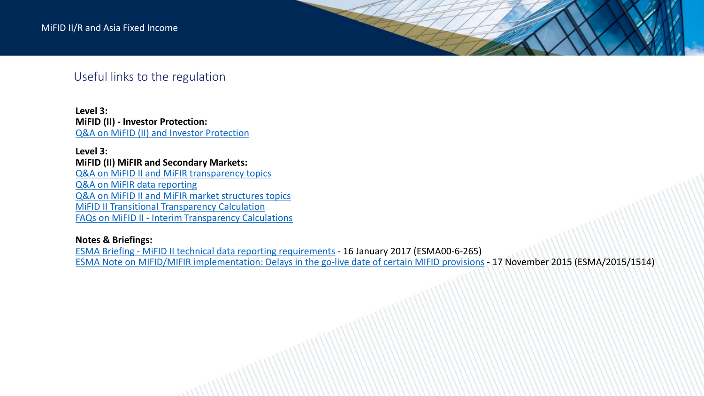## Useful links to the regulation

**Level 3: MiFID (II) - Investor Protection:** Q&A on MiFID (II) and Investor Protection

**Level 3: MiFID (II) MiFIR and Secondary Markets:** Q&A on MiFID II and MiFIR transparency topics

Q&A on MiFIR data reporting Q&A on MiFID II and MiFIR market structures topics **MiFID II Transitional Transparency Calculation** FAQs on MiFID II - Interim Transparency Calculations

## **Notes & Briefings:**

ESMA Briefing - MiFID II technical data reporting requirements - 16 January 2017 (ESMA00-6-265) ESMA Note on MIFID/MIFIR implementation: Delays in the go-live date of certain MIFID provisions - 17 November 2015 (ESMA/2015/1514)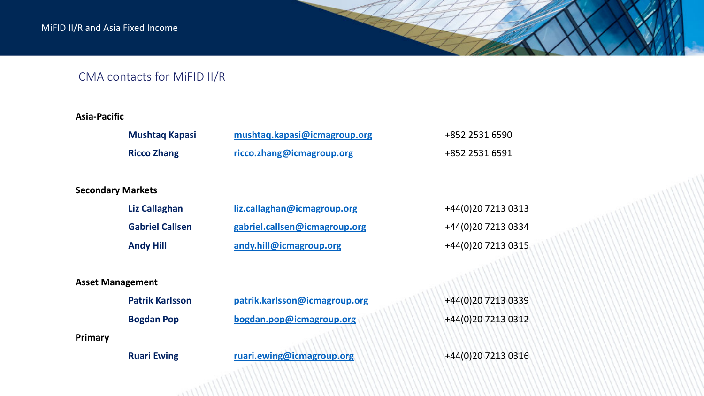## ICMA contacts for MiFID II/R

### **Asia-Pacific**

| <b>Mushtag Kapasi</b> | mushtaq.kapasi@icmagroup.org | +852 2531 6590 |
|-----------------------|------------------------------|----------------|
| <b>Ricco Zhang</b>    | ricco.zhang@icmagroup.org    | +852 2531 6591 |

### **Secondary Markets**

| Liz Callaghan          | liz.callaghan@icmagroup.org   | +44(0)20 7213 0313 |
|------------------------|-------------------------------|--------------------|
| <b>Gabriel Callsen</b> | gabriel.callsen@icmagroup.org | +44(0)20 7213 0334 |
| <b>Andy Hill</b>       | andy.hill@icmagroup.org       | +44(0)20 7213 0315 |

### **Asset Management**

|         | <b>Patrik Karlsson</b> |  |
|---------|------------------------|--|
|         | <b>Bogdan Pop</b>      |  |
| Primary |                        |  |

**Patrik.karlsson@icmagroup.org** +44(0)20 7213 0339 **bogdan.pop@icmagroup.org** +44(0)20 7213 0312

**Ruari Ewing ruari.ewing@icmagroup.org** +44(0)20 7213 0316